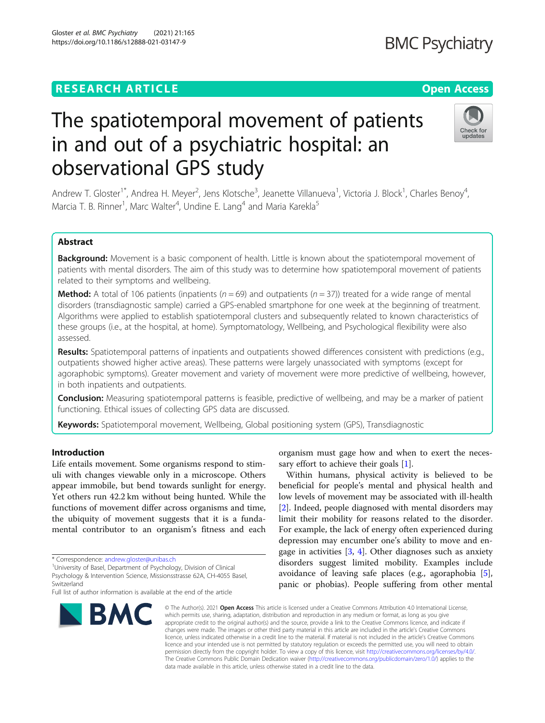Gloster et al. BMC Psychiatry (2021) 21:165 https://doi.org/10.1186/s12888-021-03147-9

# The spatiotemporal movement of patients in and out of a psychiatric hospital: an observational GPS study

Andrew T. Gloster<sup>1\*</sup>, Andrea H. Meyer<sup>2</sup>, Jens Klotsche<sup>3</sup>, Jeanette Villanueva<sup>1</sup>, Victoria J. Block<sup>1</sup>, Charles Benoy<sup>4</sup> , Marcia T. B. Rinner<sup>1</sup>, Marc Walter<sup>4</sup>, Undine E. Lang<sup>4</sup> and Maria Karekla<sup>5</sup>

# Abstract

Background: Movement is a basic component of health. Little is known about the spatiotemporal movement of patients with mental disorders. The aim of this study was to determine how spatiotemporal movement of patients related to their symptoms and wellbeing.

**Method:** A total of 106 patients (inpatients ( $n = 69$ ) and outpatients ( $n = 37$ )) treated for a wide range of mental disorders (transdiagnostic sample) carried a GPS-enabled smartphone for one week at the beginning of treatment. Algorithms were applied to establish spatiotemporal clusters and subsequently related to known characteristics of these groups (i.e., at the hospital, at home). Symptomatology, Wellbeing, and Psychological flexibility were also assessed.

Results: Spatiotemporal patterns of inpatients and outpatients showed differences consistent with predictions (e.g., outpatients showed higher active areas). These patterns were largely unassociated with symptoms (except for agoraphobic symptoms). Greater movement and variety of movement were more predictive of wellbeing, however, in both inpatients and outpatients.

Conclusion: Measuring spatiotemporal patterns is feasible, predictive of wellbeing, and may be a marker of patient functioning. Ethical issues of collecting GPS data are discussed.

Keywords: Spatiotemporal movement, Wellbeing, Global positioning system (GPS), Transdiagnostic

# Introduction

Life entails movement. Some organisms respond to stimuli with changes viewable only in a microscope. Others appear immobile, but bend towards sunlight for energy. Yet others run 42.2 km without being hunted. While the functions of movement differ across organisms and time, the ubiquity of movement suggests that it is a fundamental contributor to an organism's fitness and each

Full list of author information is available at the end of the article



organism must gage how and when to exert the necessary effort to achieve their goals [[1\]](#page-8-0).

Within humans, physical activity is believed to be beneficial for people's mental and physical health and low levels of movement may be associated with ill-health [[2\]](#page-8-0). Indeed, people diagnosed with mental disorders may limit their mobility for reasons related to the disorder. For example, the lack of energy often experienced during depression may encumber one's ability to move and engage in activities  $[3, 4]$  $[3, 4]$  $[3, 4]$ . Other diagnoses such as anxiety disorders suggest limited mobility. Examples include avoidance of leaving safe places (e.g., agoraphobia [\[5](#page-8-0)], panic or phobias). People suffering from other mental

© The Author(s), 2021 **Open Access** This article is licensed under a Creative Commons Attribution 4.0 International License, which permits use, sharing, adaptation, distribution and reproduction in any medium or format, as long as you give appropriate credit to the original author(s) and the source, provide a link to the Creative Commons licence, and indicate if changes were made. The images or other third party material in this article are included in the article's Creative Commons licence, unless indicated otherwise in a credit line to the material. If material is not included in the article's Creative Commons licence and your intended use is not permitted by statutory regulation or exceeds the permitted use, you will need to obtain permission directly from the copyright holder. To view a copy of this licence, visit [http://creativecommons.org/licenses/by/4.0/.](http://creativecommons.org/licenses/by/4.0/) The Creative Commons Public Domain Dedication waiver [\(http://creativecommons.org/publicdomain/zero/1.0/](http://creativecommons.org/publicdomain/zero/1.0/)) applies to the data made available in this article, unless otherwise stated in a credit line to the data.





<sup>\*</sup> Correspondence: [andrew.gloster@unibas.ch](mailto:andrew.gloster@unibas.ch) <sup>1</sup>

University of Basel, Department of Psychology, Division of Clinical

Psychology & Intervention Science, Missionsstrasse 62A, CH-4055 Basel, Switzerland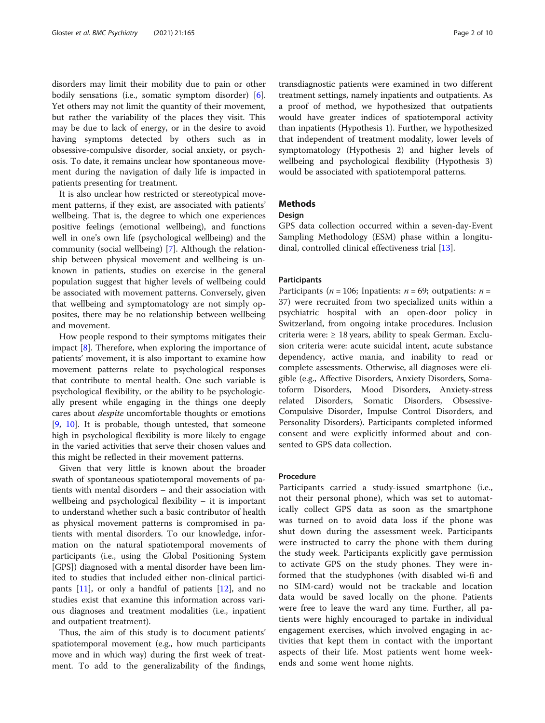disorders may limit their mobility due to pain or other bodily sensations (i.e., somatic symptom disorder) [\[6](#page-8-0)]. Yet others may not limit the quantity of their movement, but rather the variability of the places they visit. This may be due to lack of energy, or in the desire to avoid having symptoms detected by others such as in obsessive-compulsive disorder, social anxiety, or psychosis. To date, it remains unclear how spontaneous movement during the navigation of daily life is impacted in patients presenting for treatment.

It is also unclear how restricted or stereotypical movement patterns, if they exist, are associated with patients' wellbeing. That is, the degree to which one experiences positive feelings (emotional wellbeing), and functions well in one's own life (psychological wellbeing) and the community (social wellbeing) [\[7](#page-9-0)]. Although the relationship between physical movement and wellbeing is unknown in patients, studies on exercise in the general population suggest that higher levels of wellbeing could be associated with movement patterns. Conversely, given that wellbeing and symptomatology are not simply opposites, there may be no relationship between wellbeing and movement.

How people respond to their symptoms mitigates their impact [[8\]](#page-9-0). Therefore, when exploring the importance of patients' movement, it is also important to examine how movement patterns relate to psychological responses that contribute to mental health. One such variable is psychological flexibility, or the ability to be psychologically present while engaging in the things one deeply cares about despite uncomfortable thoughts or emotions [[9,](#page-9-0) [10\]](#page-9-0). It is probable, though untested, that someone high in psychological flexibility is more likely to engage in the varied activities that serve their chosen values and this might be reflected in their movement patterns.

Given that very little is known about the broader swath of spontaneous spatiotemporal movements of patients with mental disorders – and their association with wellbeing and psychological flexibility – it is important to understand whether such a basic contributor of health as physical movement patterns is compromised in patients with mental disorders. To our knowledge, information on the natural spatiotemporal movements of participants (i.e., using the Global Positioning System [GPS]) diagnosed with a mental disorder have been limited to studies that included either non-clinical participants [[11](#page-9-0)], or only a handful of patients [\[12](#page-9-0)], and no studies exist that examine this information across various diagnoses and treatment modalities (i.e., inpatient and outpatient treatment).

Thus, the aim of this study is to document patients' spatiotemporal movement (e.g., how much participants move and in which way) during the first week of treatment. To add to the generalizability of the findings,

transdiagnostic patients were examined in two different treatment settings, namely inpatients and outpatients. As a proof of method, we hypothesized that outpatients would have greater indices of spatiotemporal activity than inpatients (Hypothesis 1). Further, we hypothesized that independent of treatment modality, lower levels of symptomatology (Hypothesis 2) and higher levels of wellbeing and psychological flexibility (Hypothesis 3) would be associated with spatiotemporal patterns.

# **Methods**

# Design

GPS data collection occurred within a seven-day-Event Sampling Methodology (ESM) phase within a longitudinal, controlled clinical effectiveness trial [[13](#page-9-0)].

## **Participants**

Participants ( $n = 106$ ; Inpatients:  $n = 69$ ; outpatients:  $n =$ 37) were recruited from two specialized units within a psychiatric hospital with an open-door policy in Switzerland, from ongoing intake procedures. Inclusion criteria were:  $\geq 18$  years, ability to speak German. Exclusion criteria were: acute suicidal intent, acute substance dependency, active mania, and inability to read or complete assessments. Otherwise, all diagnoses were eligible (e.g., Affective Disorders, Anxiety Disorders, Somatoform Disorders, Mood Disorders, Anxiety-stress related Disorders, Somatic Disorders, Obsessive-Compulsive Disorder, Impulse Control Disorders, and Personality Disorders). Participants completed informed consent and were explicitly informed about and consented to GPS data collection.

#### Procedure

Participants carried a study-issued smartphone (i.e., not their personal phone), which was set to automatically collect GPS data as soon as the smartphone was turned on to avoid data loss if the phone was shut down during the assessment week. Participants were instructed to carry the phone with them during the study week. Participants explicitly gave permission to activate GPS on the study phones. They were informed that the studyphones (with disabled wi-fi and no SIM-card) would not be trackable and location data would be saved locally on the phone. Patients were free to leave the ward any time. Further, all patients were highly encouraged to partake in individual engagement exercises, which involved engaging in activities that kept them in contact with the important aspects of their life. Most patients went home weekends and some went home nights.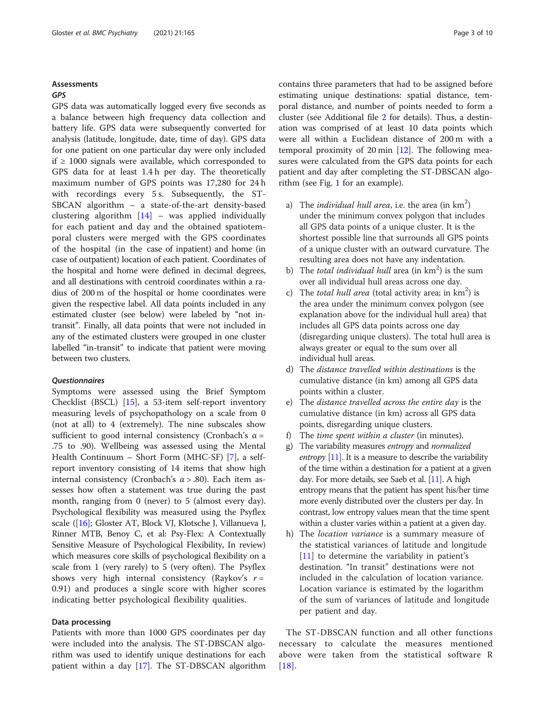# Assessments

# GPS

GPS data was automatically logged every five seconds as a balance between high frequency data collection and battery life. GPS data were subsequently converted for analysis (latitude, longitude, date, time of day). GPS data for one patient on one particular day were only included if ≥ 1000 signals were available, which corresponded to GPS data for at least 1.4 h per day. The theoretically maximum number of GPS points was 17,280 for 24 h with recordings every 5 s. Subsequently, the ST-SBCAN algorithm – a state-of-the-art density-based clustering algorithm [\[14](#page-9-0)] – was applied individually for each patient and day and the obtained spatiotemporal clusters were merged with the GPS coordinates of the hospital (in the case of inpatient) and home (in case of outpatient) location of each patient. Coordinates of the hospital and home were defined in decimal degrees, and all destinations with centroid coordinates within a radius of 200 m of the hospital or home coordinates were given the respective label. All data points included in any estimated cluster (see below) were labeled by "not intransit". Finally, all data points that were not included in any of the estimated clusters were grouped in one cluster labelled "in-transit" to indicate that patient were moving between two clusters.

# **Questionnaires**

Symptoms were assessed using the Brief Symptom Checklist (BSCL) [\[15](#page-9-0)], a 53-item self-report inventory measuring levels of psychopathology on a scale from 0 (not at all) to 4 (extremely). The nine subscales show sufficient to good internal consistency (Cronbach's  $\alpha$  = .75 to .90). Wellbeing was assessed using the Mental Health Continuum – Short Form (MHC-SF) [\[7\]](#page-9-0), a selfreport inventory consisting of 14 items that show high internal consistency (Cronbach's  $\alpha$  > .80). Each item assesses how often a statement was true during the past month, ranging from 0 (never) to 5 (almost every day). Psychological flexibility was measured using the Psyflex scale ([[16\]](#page-9-0); Gloster AT, Block VJ, Klotsche J, Villanueva J, Rinner MTB, Benoy C, et al: Psy-Flex: A Contextually Sensitive Measure of Psychological Flexibility, In review) which measures core skills of psychological flexibility on a scale from 1 (very rarely) to 5 (very often). The Psyflex shows very high internal consistency (Raykov's  $r =$ 0.91) and produces a single score with higher scores indicating better psychological flexibility qualities.

# Data processing

Patients with more than 1000 GPS coordinates per day were included into the analysis. The ST-DBSCAN algorithm was used to identify unique destinations for each patient within a day [\[17](#page-9-0)]. The ST-DBSCAN algorithm contains three parameters that had to be assigned before estimating unique destinations: spatial distance, temporal distance, and number of points needed to form a cluster (see Additional file [2](#page-8-0) for details). Thus, a destination was comprised of at least 10 data points which were all within a Euclidean distance of 200 m with a temporal proximity of 20 min [[12](#page-9-0)]. The following measures were calculated from the GPS data points for each patient and day after completing the ST-DBSCAN algorithm (see Fig. [1](#page-3-0) for an example).

- a) The *individual hull area*, *i.e.* the area (in  $km^2$ ) under the minimum convex polygon that includes all GPS data points of a unique cluster. It is the shortest possible line that surrounds all GPS points of a unique cluster with an outward curvature. The resulting area does not have any indentation.
- b) The total individual hull area (in  $km<sup>2</sup>$ ) is the sum over all individual hull areas across one day.
- c) The total hull area (total activity area; in  $km^2$ ) is the area under the minimum convex polygon (see explanation above for the individual hull area) that includes all GPS data points across one day (disregarding unique clusters). The total hull area is always greater or equal to the sum over all individual hull areas.
- d) The distance travelled within destinations is the cumulative distance (in km) among all GPS data points within a cluster.
- e) The distance travelled across the entire day is the cumulative distance (in km) across all GPS data points, disregarding unique clusters.
- f) The time spent within a cluster (in minutes).
- g) The variability measures entropy and normalized *entropy* [\[11\]](#page-9-0). It is a measure to describe the variability of the time within a destination for a patient at a given day. For more details, see Saeb et al. [\[11](#page-9-0)]. A high entropy means that the patient has spent his/her time more evenly distributed over the clusters per day. In contrast, low entropy values mean that the time spent within a cluster varies within a patient at a given day.
- h) The location variance is a summary measure of the statistical variances of latitude and longitude [[11](#page-9-0)] to determine the variability in patient's destination. "In transit" destinations were not included in the calculation of location variance. Location variance is estimated by the logarithm of the sum of variances of latitude and longitude per patient and day.

The ST-DBSCAN function and all other functions necessary to calculate the measures mentioned above were taken from the statistical software R [[18\]](#page-9-0).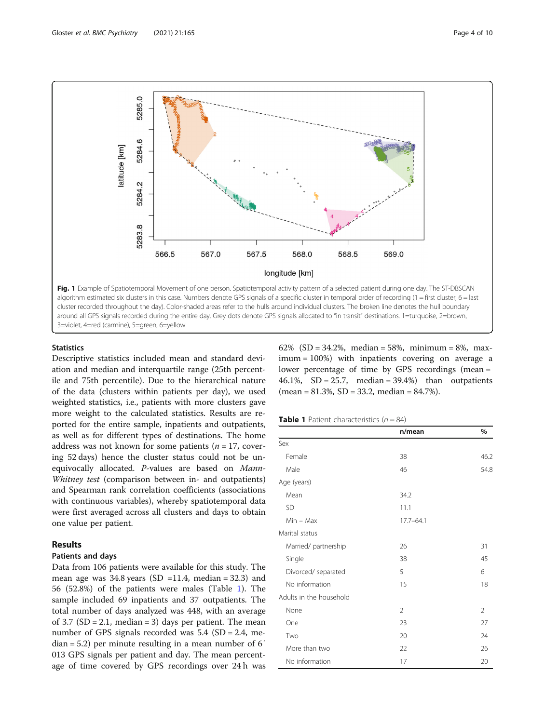<span id="page-3-0"></span>

3=violet, 4=red (carmine), 5=green, 6=yellow

# **Statistics**

Descriptive statistics included mean and standard deviation and median and interquartile range (25th percentile and 75th percentile). Due to the hierarchical nature of the data (clusters within patients per day), we used weighted statistics, i.e., patients with more clusters gave more weight to the calculated statistics. Results are reported for the entire sample, inpatients and outpatients, as well as for different types of destinations. The home address was not known for some patients ( $n = 17$ , covering 52 days) hence the cluster status could not be unequivocally allocated. P-values are based on Mann-Whitney test (comparison between in- and outpatients) and Spearman rank correlation coefficients (associations with continuous variables), whereby spatiotemporal data were first averaged across all clusters and days to obtain one value per patient.

# Results

# Patients and days

Data from 106 patients were available for this study. The mean age was  $34.8$  years (SD =11.4, median = 32.3) and 56 (52.8%) of the patients were males (Table 1). The sample included 69 inpatients and 37 outpatients. The total number of days analyzed was 448, with an average of 3.7 (SD = 2.1, median = 3) days per patient. The mean number of GPS signals recorded was 5.4 (SD = 2.4, median = 5.2) per minute resulting in a mean number of 6′ 013 GPS signals per patient and day. The mean percentage of time covered by GPS recordings over 24 h was 62% (SD = 34.2%, median = 58%, minimum = 8%, maximum = 100%) with inpatients covering on average a lower percentage of time by GPS recordings (mean = 46.1%,  $SD = 25.7$ , median = 39.4%) than outpatients  $(mean = 81.3\%, SD = 33.2, median = 84.7\%).$ 

# **Table 1** Patient characteristics  $(n = 84)$

|                         | n/mean         | $\%$ |
|-------------------------|----------------|------|
| Sex                     |                |      |
| Female                  | 38             | 46.2 |
| Male                    | 46             | 54.8 |
| Age (years)             |                |      |
| Mean                    | 34.2           |      |
| <b>SD</b>               | 11.1           |      |
| $Min - Max$             | $17.7 - 64.1$  |      |
| Marital status          |                |      |
| Married/partnership     | 26             | 31   |
| Single                  | 38             | 45   |
| Divorced/ separated     | 5              | 6    |
| No information          | 15             | 18   |
| Adults in the household |                |      |
| None                    | $\overline{2}$ | 2    |
| One                     | 23             | 27   |
| Two                     | 20             | 24   |
| More than two           | 22             | 26   |
| No information          | 17             | 20   |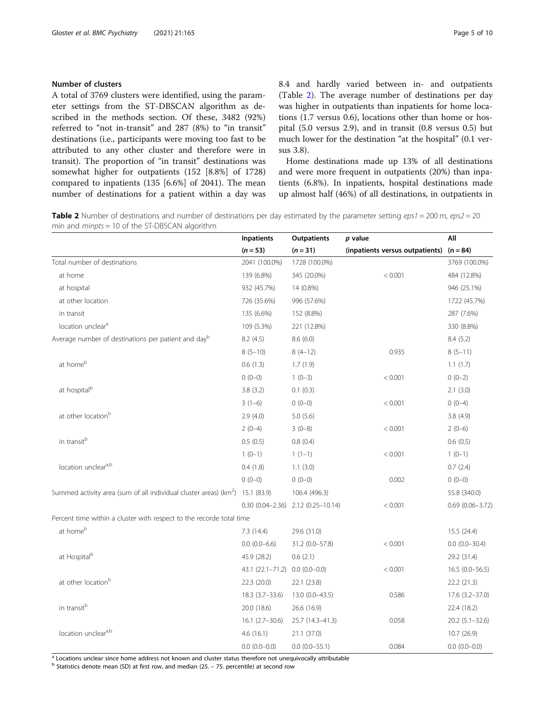# <span id="page-4-0"></span>Number of clusters

A total of 3769 clusters were identified, using the parameter settings from the ST-DBSCAN algorithm as described in the methods section. Of these, 3482 (92%) referred to "not in-transit" and 287 (8%) to "in transit" destinations (i.e., participants were moving too fast to be attributed to any other cluster and therefore were in transit). The proportion of "in transit" destinations was somewhat higher for outpatients (152 [8.8%] of 1728) compared to inpatients (135 [6.6%] of 2041). The mean number of destinations for a patient within a day was 8.4 and hardly varied between in- and outpatients (Table 2). The average number of destinations per day was higher in outpatients than inpatients for home locations (1.7 versus 0.6), locations other than home or hospital (5.0 versus 2.9), and in transit (0.8 versus 0.5) but much lower for the destination "at the hospital" (0.1 versus 3.8).

Home destinations made up 13% of all destinations and were more frequent in outpatients (20%) than inpatients (6.8%). In inpatients, hospital destinations made up almost half (46%) of all destinations, in outpatients in

Table 2 Number of destinations and number of destinations per day estimated by the parameter setting  $eps1 = 200$  m,  $eps2 = 20$ min and minpts = 10 of the ST-DBSCAN algorithm

|                                                                                   | <b>Inpatients</b>   | <b>Outpatients</b>                        | p value                         | All                    |
|-----------------------------------------------------------------------------------|---------------------|-------------------------------------------|---------------------------------|------------------------|
|                                                                                   | $(n = 53)$          | $(n = 31)$                                | (inpatients versus outpatients) | $(n = 84)$             |
| Total number of destinations                                                      | 2041 (100.0%)       | 1728 (100.0%)                             |                                 | 3769 (100.0%)          |
| at home                                                                           | 139 (6.8%)          | 345 (20.0%)                               | < 0.001                         | 484 (12.8%)            |
| at hospital                                                                       | 932 (45.7%)         | 14 (0.8%)                                 |                                 | 946 (25.1%)            |
| at other location                                                                 | 726 (35.6%)         | 996 (57.6%)                               |                                 | 1722 (45.7%)           |
| in transit                                                                        | 135 (6.6%)          | 152 (8.8%)                                |                                 | 287 (7.6%)             |
| location unclear <sup>a</sup>                                                     | 109 (5.3%)          | 221 (12.8%)                               |                                 | 330 (8.8%)             |
| Average number of destinations per patient and day <sup>b</sup>                   | 8.2(4.5)            | 8.6(6.0)                                  |                                 | 8.4(5.2)               |
|                                                                                   | $8(5-10)$           | $8(4-12)$                                 | 0.935                           | $8(5-11)$              |
| at home <sup>b</sup>                                                              | 0.6(1.3)            | 1.7(1.9)                                  |                                 | 1.1(1.7)               |
|                                                                                   | $0(0-0)$            | $1(0-3)$                                  | < 0.001                         | $0(0-2)$               |
| at hospital <sup>b</sup>                                                          | 3.8(3.2)            | 0.1(0.3)                                  |                                 | 2.1(3.0)               |
|                                                                                   | $3(1-6)$            | $0(0-0)$                                  | < 0.001                         | $0(0-4)$               |
| at other location <sup>b</sup>                                                    | 2.9(4.0)            | 5.0(5.6)                                  |                                 | 3.8(4.9)               |
|                                                                                   | $2(0-4)$            | $3(0-8)$                                  | < 0.001                         | $2(0-6)$               |
| in transitb                                                                       | 0.5(0.5)            | 0.8(0.4)                                  |                                 | 0.6(0.5)               |
|                                                                                   | $1(0-1)$            | $1(1-1)$                                  | < 0.001                         | $1(0-1)$               |
| location uncleara,b                                                               | 0.4(1.8)            | 1.1(3.0)                                  |                                 | 0.7(2.4)               |
|                                                                                   | $0(0-0)$            | $0(0-0)$                                  | 0.002                           | $0(0-0)$               |
| Summed activity area (sum of all individual cluster areas) ( $km^2$ ) 15.1 (83.9) |                     | 106.4 (496.3)                             |                                 | 55.8 (340.0)           |
|                                                                                   |                     | $0.30(0.04 - 2.36)$ 2.12 $(0.25 - 10.14)$ | < 0.001                         | $0.69$ $(0.06 - 3.72)$ |
| Percent time within a cluster with respect to the recorde total time              |                     |                                           |                                 |                        |
| at home <sup>b</sup>                                                              | 7.3(14.4)           | 29.6 (31.0)                               |                                 | 15.5 (24.4)            |
|                                                                                   | $0.0(0.0-6.6)$      | 31.2 (0.0-57.8)                           | < 0.001                         | $0.0 (0.0 - 30.4)$     |
| at Hospital <sup>b</sup>                                                          | 45.9 (28.2)         | 0.6(2.1)                                  |                                 | 29.2 (31.4)            |
|                                                                                   | 43.1 (22.1–71.2)    | $0.0(0.0-0.0)$                            | < 0.001                         | $16.5(0.0-56.5)$       |
| at other location <sup>b</sup>                                                    | 22.3 (20.0)         | 22.1 (23.8)                               |                                 | 22.2 (21.3)            |
|                                                                                   | $18.3(3.7 - 33.6)$  | 13.0 (0.0-43.5)                           | 0.586                           | 17.6 (3.2-37.0)        |
| in transitb                                                                       | 20.0 (18.6)         | 26.6 (16.9)                               |                                 | 22.4 (18.2)            |
|                                                                                   | $16.1$ $(2.7-30.6)$ | 25.7 (14.3-41.3)                          | 0.058                           | $20.2$ (5.1-32.6)      |
| location uncleara,b                                                               | 4.6(16.1)           | 21.1 (37.0)                               |                                 | 10.7(26.9)             |
|                                                                                   | $0.0(0.0-0.0)$      | $0.0 (0.0 - 55.1)$                        | 0.084                           | $0.0(0.0-0.0)$         |

<sup>a</sup> Locations unclear since home address not known and cluster status therefore not unequivocally attributable

 $<sup>b</sup>$  Statistics denote mean (SD) at first row, and median (25. – 75. percentile) at second row</sup>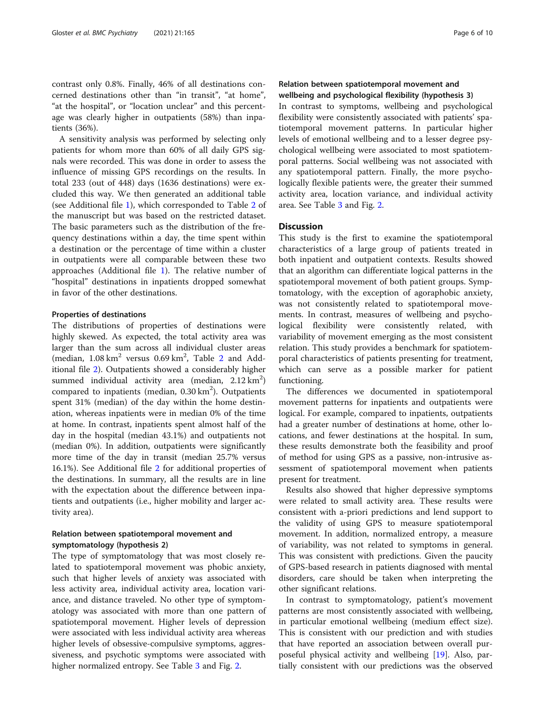contrast only 0.8%. Finally, 46% of all destinations concerned destinations other than "in transit", "at home", "at the hospital", or "location unclear" and this percentage was clearly higher in outpatients (58%) than inpatients (36%).

A sensitivity analysis was performed by selecting only patients for whom more than 60% of all daily GPS signals were recorded. This was done in order to assess the influence of missing GPS recordings on the results. In total 233 (out of 448) days (1636 destinations) were excluded this way. We then generated an additional table (see Additional file [1](#page-8-0)), which corresponded to Table [2](#page-4-0) of the manuscript but was based on the restricted dataset. The basic parameters such as the distribution of the frequency destinations within a day, the time spent within a destination or the percentage of time within a cluster in outpatients were all comparable between these two approaches (Additional file [1](#page-8-0)). The relative number of "hospital" destinations in inpatients dropped somewhat in favor of the other destinations.

# Properties of destinations

The distributions of properties of destinations were highly skewed. As expected, the total activity area was larger than the sum across all individual cluster areas (median,  $1.08 \text{ km}^2$  $1.08 \text{ km}^2$  versus  $0.69 \text{ km}^2$ , Table 2 and Additional file [2\)](#page-8-0). Outpatients showed a considerably higher summed individual activity area (median,  $2.12 \text{ km}^2$ ) compared to inpatients (median, 0.30 km<sup>2</sup>). Outpatients spent 31% (median) of the day within the home destination, whereas inpatients were in median 0% of the time at home. In contrast, inpatients spent almost half of the day in the hospital (median 43.1%) and outpatients not (median 0%). In addition, outpatients were significantly more time of the day in transit (median 25.7% versus 16.1%). See Additional file [2](#page-8-0) for additional properties of the destinations. In summary, all the results are in line with the expectation about the difference between inpatients and outpatients (i.e., higher mobility and larger activity area).

# Relation between spatiotemporal movement and symptomatology (hypothesis 2)

The type of symptomatology that was most closely related to spatiotemporal movement was phobic anxiety, such that higher levels of anxiety was associated with less activity area, individual activity area, location variance, and distance traveled. No other type of symptomatology was associated with more than one pattern of spatiotemporal movement. Higher levels of depression were associated with less individual activity area whereas higher levels of obsessive-compulsive symptoms, aggressiveness, and psychotic symptoms were associated with higher normalized entropy. See Table [3](#page-6-0) and Fig. [2.](#page-7-0)

# Relation between spatiotemporal movement and wellbeing and psychological flexibility (hypothesis 3)

In contrast to symptoms, wellbeing and psychological flexibility were consistently associated with patients' spatiotemporal movement patterns. In particular higher levels of emotional wellbeing and to a lesser degree psychological wellbeing were associated to most spatiotemporal patterns. Social wellbeing was not associated with any spatiotemporal pattern. Finally, the more psychologically flexible patients were, the greater their summed activity area, location variance, and individual activity area. See Table [3](#page-6-0) and Fig. [2.](#page-7-0)

# **Discussion**

This study is the first to examine the spatiotemporal characteristics of a large group of patients treated in both inpatient and outpatient contexts. Results showed that an algorithm can differentiate logical patterns in the spatiotemporal movement of both patient groups. Symptomatology, with the exception of agoraphobic anxiety, was not consistently related to spatiotemporal movements. In contrast, measures of wellbeing and psychological flexibility were consistently related, with variability of movement emerging as the most consistent relation. This study provides a benchmark for spatiotemporal characteristics of patients presenting for treatment, which can serve as a possible marker for patient functioning.

The differences we documented in spatiotemporal movement patterns for inpatients and outpatients were logical. For example, compared to inpatients, outpatients had a greater number of destinations at home, other locations, and fewer destinations at the hospital. In sum, these results demonstrate both the feasibility and proof of method for using GPS as a passive, non-intrusive assessment of spatiotemporal movement when patients present for treatment.

Results also showed that higher depressive symptoms were related to small activity area. These results were consistent with a-priori predictions and lend support to the validity of using GPS to measure spatiotemporal movement. In addition, normalized entropy, a measure of variability, was not related to symptoms in general. This was consistent with predictions. Given the paucity of GPS-based research in patients diagnosed with mental disorders, care should be taken when interpreting the other significant relations.

In contrast to symptomatology, patient's movement patterns are most consistently associated with wellbeing, in particular emotional wellbeing (medium effect size). This is consistent with our prediction and with studies that have reported an association between overall purposeful physical activity and wellbeing [\[19](#page-9-0)]. Also, partially consistent with our predictions was the observed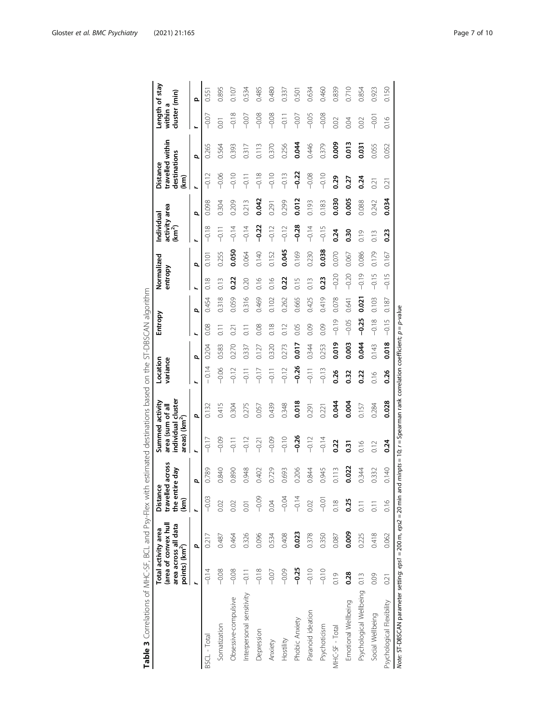<span id="page-6-0"></span>

|                                                                                                                                        | points) (km <sup>2</sup> ) | (area of convex hull<br>area across all data<br>Total activity area | the entire day<br>Distanc<br>(km) | travelled across<br>Ф | Summed activity<br>area (sum of all<br>areas) (km <sup>2</sup> ) | individual cluster | Location<br>variance |       | Entropy |       | Normalized<br>entropy |       | activity area<br>(km <sup>2</sup> )<br>Individual |       | destinations<br><b>Distance</b><br>(km | travelled within | cluster (min)<br>within a | Length of stay |
|----------------------------------------------------------------------------------------------------------------------------------------|----------------------------|---------------------------------------------------------------------|-----------------------------------|-----------------------|------------------------------------------------------------------|--------------------|----------------------|-------|---------|-------|-----------------------|-------|---------------------------------------------------|-------|----------------------------------------|------------------|---------------------------|----------------|
|                                                                                                                                        |                            | p                                                                   |                                   | p                     |                                                                  | p                  | ⊾                    | đ     | ĥ.      | d     |                       | p     | ×.                                                | đ     |                                        | p                |                           | Ω              |
| BSCL - Total                                                                                                                           | $-0.14$                    | 0.217                                                               | $-0.03$                           | 0.789                 | $-0.17$                                                          | 0.132              | 0.14                 | 0.204 | 0.08    | 0.454 | 0.18                  | 0.101 | $-0.18$                                           | 0.098 | $-0.12$                                | 0.265            | $-0.07$                   | $0.55^{\circ}$ |
| Somatization                                                                                                                           | $-0.08$                    | 0.487                                                               | 0.02                              | 0.840                 | $-0.09$                                                          | 0.415              | $-0.06$              | 0.583 | Ξ       | 0.318 | 0.13                  | 0.255 | $-0.11$                                           | 0.304 | $-0.06$                                | 0.564            | 0.01                      | 0.895          |
| Obsessive-compulsive                                                                                                                   | $-0.08$                    | 0.464                                                               | 0.02                              | 0.890                 | $\frac{1}{2}$                                                    | 0.304              | $-0.12$              | 0.270 | 0.21    | 0.059 | 0.22                  | 0.050 | $-0.14$                                           | 0.209 | $-0.10$                                | 0.393            | $-0.18$                   | 0.107          |
| Interpersonal sensitivity                                                                                                              | $-0.11$                    | 0.326                                                               | 0.01                              | 0.948                 | $-0.12$                                                          | 0.275              | $-0.11$              | 0.337 | Ξ       | 0.316 | 0.20                  | 0.064 | $-0.14$                                           | 0.213 | $-0.11$                                | 0.317            | $-0.07$                   | 0.534          |
| Depression                                                                                                                             | $-0.18$                    | 0.096                                                               | $-0.09$                           | 0.402                 | $-0.21$                                                          | 0.057              | $-0.17$              | 0.127 | 0.08    | 0.469 | 0.16                  | 0.140 | $-0.22$                                           | 0.042 | $-0.18$                                | 0.113            | $-0.08$                   | 0.485          |
| Anxiety                                                                                                                                | $-0.07$                    | 0.534                                                               | 0.04                              | 0.729                 | $-0.09$                                                          | 0.439              | $-0.11$              | 0.320 | 0.18    | 0.102 | 0.16                  | 0.152 | $-0.12$                                           | 0.291 | $-0.10$                                | 0.370            | $-0.08$                   | 0.480          |
| Hostility                                                                                                                              | $-0.09$                    | 0.408                                                               | $-0.04$                           | 0.693                 | $-0.10$                                                          | 0.348              | $-0.12$              | 0.273 | 0.12    | 0.262 | 0.22                  | 0.045 | $-0.12$                                           | 0.299 | $-0.13$                                | 0.256            | $-0.11$                   | 0.337          |
| Phobic Anxiety                                                                                                                         | $-0.25$                    | 0.023                                                               | $-0.14$                           | 0.206                 | $-0.26$                                                          | 0.018              | $-0.26$              | 0.017 | 0.05    | 0.665 | 0.15                  | 0.169 | $-0.28$                                           | 0.012 | $-0.22$                                | 0.044            | $-0.07$                   | $0.50^\circ$   |
| Paranoid ideation                                                                                                                      | $-0.10$                    | 0.378                                                               | 0.02                              | 0.844                 | $-0.12$                                                          | 0.291              | $-0.11$              | 0.344 | 0.09    | 0.425 | 0.13                  | 0.230 | $-0.14$                                           | 0.193 | $-0.08$                                | 0.446            | $-0.05$                   | 0.634          |
| Psychoticism                                                                                                                           | $-0.10$                    | 0.350                                                               | $-0.01$                           | 0.945                 | $-0.14$                                                          | 0.221              | $-0.13$              | 0.253 | 0.09    | 0.419 | 0.23                  | 0.038 | $-0.15$                                           | 0.183 | $-0.10$                                | 0.379            | $-0.08$                   | 0.460          |
| MHC-SF - Total                                                                                                                         | 0.19                       | 0.087                                                               | 0.18                              | 0.113                 | 0.22                                                             | 0.044              | 0.26                 | 0.019 | $-0.19$ | 0.078 | $-0.20$               | 0.070 | 0.24                                              | 0.030 | 0.29                                   | 0.009            | 0.02                      | 0.839          |
| Emotional Wellbeing                                                                                                                    | 0.28                       | 0.009                                                               | 0.25                              | 0.022                 | 0.31                                                             | 0.004              | 0.32                 | 0.003 | $-0.05$ | 0.641 | $-0.20$               | 0.067 | 0.30                                              | 0.005 | 0.27                                   | 0.013            | 0.04                      | 0.710          |
| Psychological Wellbeing                                                                                                                | 0.13                       | 0.225                                                               | $\overline{0}$ .                  | 0.344                 | 0.16                                                             | 0.157              | 0.22                 | 0.044 | $-0.25$ | 0.021 | $-0.19$               | 0.086 | 0.19                                              | 0.088 | 0.24                                   | 0.031            | 0.02                      | 0.854          |
| Social Wellbeing                                                                                                                       | 0.09                       | 0.418                                                               | Ξ                                 | 0.332                 | 0.12                                                             | 0.284              | 0.16                 | 0.143 | $-0.18$ | 0.103 | $-0.15$               | 0.179 | 0.13                                              | 0.242 | 0.21                                   | 0.055            | $-0.01$                   | 0.923          |
| Psychological Flexibility                                                                                                              | 0.21                       | 0.062                                                               | 0.16                              | 0.140                 | 0.24                                                             | 0.028              | 0.26                 | 0.018 | $-0.15$ | 0.187 | $-0.15$               | 0.167 | 0.23                                              | 0.034 | 0.21                                   | 0.052            | 0.16                      | 0.150          |
| Note: ST-DBSCAN parameter setting: eps1 = 200 m, eps2 = 20 min and minpts = 10; r = Spearman rank correlation coefficient; p = p-value |                            |                                                                     |                                   |                       |                                                                  |                    |                      |       |         |       |                       |       |                                                   |       |                                        |                  |                           |                |

Table 3 Correlations of MHC-SF, BCL and Psy-Flex with estimated destinations based on the ST-DBSCAN algorithm Table 3 Correlations of MHC-SF, BCL and Psy-Flex with estimated destinations based on the ST-DBSCAN algorithm

= d :1 ₹ rsdə ist ä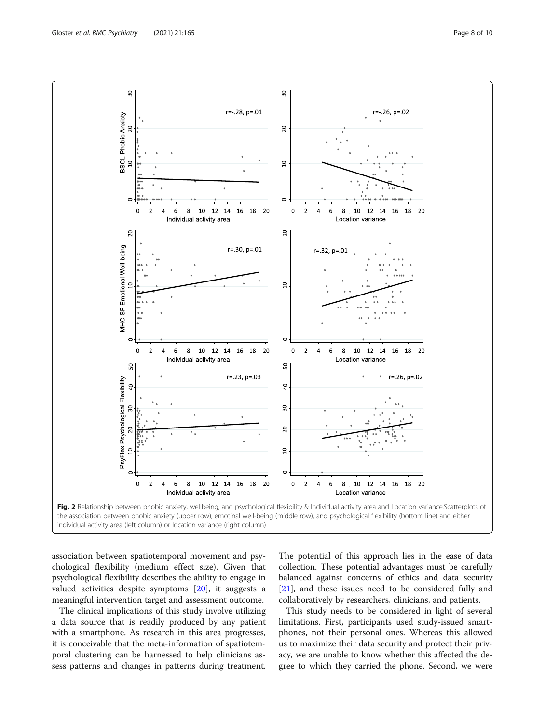<span id="page-7-0"></span>

individual activity area (left column) or location variance (right column)

association between spatiotemporal movement and psychological flexibility (medium effect size). Given that psychological flexibility describes the ability to engage in valued activities despite symptoms [[20\]](#page-9-0), it suggests a meaningful intervention target and assessment outcome.

The clinical implications of this study involve utilizing a data source that is readily produced by any patient with a smartphone. As research in this area progresses, it is conceivable that the meta-information of spatiotemporal clustering can be harnessed to help clinicians assess patterns and changes in patterns during treatment.

The potential of this approach lies in the ease of data collection. These potential advantages must be carefully balanced against concerns of ethics and data security [[21\]](#page-9-0), and these issues need to be considered fully and collaboratively by researchers, clinicians, and patients.

This study needs to be considered in light of several limitations. First, participants used study-issued smartphones, not their personal ones. Whereas this allowed us to maximize their data security and protect their privacy, we are unable to know whether this affected the degree to which they carried the phone. Second, we were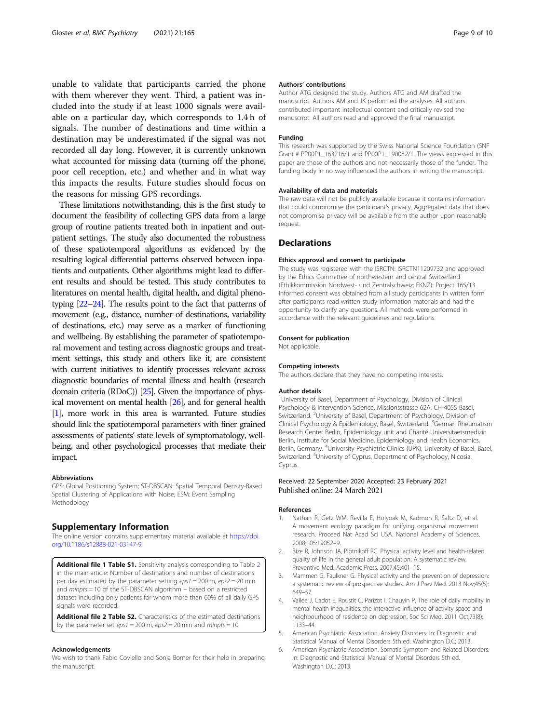<span id="page-8-0"></span>unable to validate that participants carried the phone with them wherever they went. Third, a patient was included into the study if at least 1000 signals were available on a particular day, which corresponds to 1.4 h of signals. The number of destinations and time within a destination may be underestimated if the signal was not recorded all day long. However, it is currently unknown what accounted for missing data (turning off the phone, poor cell reception, etc.) and whether and in what way this impacts the results. Future studies should focus on the reasons for missing GPS recordings.

These limitations notwithstanding, this is the first study to document the feasibility of collecting GPS data from a large group of routine patients treated both in inpatient and outpatient settings. The study also documented the robustness of these spatiotemporal algorithms as evidenced by the resulting logical differential patterns observed between inpatients and outpatients. Other algorithms might lead to different results and should be tested. This study contributes to literatures on mental health, digital health, and digital phenotyping [\[22](#page-9-0)–[24](#page-9-0)]. The results point to the fact that patterns of movement (e.g., distance, number of destinations, variability of destinations, etc.) may serve as a marker of functioning and wellbeing. By establishing the parameter of spatiotemporal movement and testing across diagnostic groups and treatment settings, this study and others like it, are consistent with current initiatives to identify processes relevant across diagnostic boundaries of mental illness and health (research domain criteria (RDoC)) [\[25](#page-9-0)]. Given the importance of physical movement on mental health [\[26](#page-9-0)], and for general health [1], more work in this area is warranted. Future studies should link the spatiotemporal parameters with finer grained assessments of patients' state levels of symptomatology, wellbeing, and other psychological processes that mediate their impact.

#### Abbreviations

GPS: Global Positioning System; ST-DBSCAN: Spatial Temporal Density-Based Spatial Clustering of Applications with Noise; ESM: Event Sampling Methodology

# Supplementary Information

The online version contains supplementary material available at [https://doi.](https://doi.org/10.1186/s12888-021-03147-9) [org/10.1186/s12888-021-03147-9.](https://doi.org/10.1186/s12888-021-03147-9)

Additional file 1 Table S1. Sensitivity analysis corresponding to Table 2 in the main article: Number of destinations and number of destinations per day estimated by the parameter setting  $eps1 = 200$  m,  $eps2 = 20$  min and  $m$ inpts = 10 of the ST-DBSCAN algorithm  $-$  based on a restricted dataset including only patients for whom more than 60% of all daily GPS signals were recorded.

Additional file 2 Table S2. Characteristics of the estimated destinations by the parameter set  $eps1 = 200$  m,  $eps2 = 20$  min and minpts = 10.

#### Acknowledgements

We wish to thank Fabio Coviello and Sonja Borner for their help in preparing the manuscript.

## Authors' contributions

Author ATG designed the study. Authors ATG and AM drafted the manuscript. Authors AM and JK performed the analyses. All authors contributed important intellectual content and critically revised the manuscript. All authors read and approved the final manuscript.

#### Funding

This research was supported by the Swiss National Science Foundation (SNF Grant # PP00P1\_163716/1 and PP00P1\_190082/1. The views expressed in this paper are those of the authors and not necessarily those of the funder. The funding body in no way influenced the authors in writing the manuscript.

#### Availability of data and materials

The raw data will not be publicly available because it contains information that could compromise the participant's privacy. Aggregated data that does not compromise privacy will be available from the author upon reasonable request.

# **Declarations**

#### Ethics approval and consent to participate

The study was registered with the ISRCTN: ISRCTN11209732 and approved by the Ethics Committee of northwestern and central Switzerland (Ethikkommission Nordwest- und Zentralschweiz; EKNZ): Project 165/13. Informed consent was obtained from all study participants in written form after participants read written study information materials and had the opportunity to clarify any questions. All methods were performed in accordance with the relevant guidelines and regulations.

#### Consent for publication

Not applicable.

#### Competing interests

The authors declare that they have no competing interests.

#### Author details

<sup>1</sup>University of Basel, Department of Psychology, Division of Clinical Psychology & Intervention Science, Missionsstrasse 62A, CH-4055 Basel, Switzerland. <sup>2</sup>University of Basel, Department of Psychology, Division of Clinical Psychology & Epidemiology, Basel, Switzerland. <sup>3</sup> German Rheumatism Research Center Berlin, Epidemiology unit and Charité Universitaetsmedizin Berlin, Institute for Social Medicine, Epidemiology and Health Economics, Berlin, Germany. <sup>4</sup>University Psychiatric Clinics (UPK), University of Basel, Basel, Switzerland. <sup>5</sup>University of Cyprus, Department of Psychology, Nicosia Cyprus.

### Received: 22 September 2020 Accepted: 23 February 2021 Published online: 24 March 2021

#### References

- Nathan R, Getz WM, Revilla E, Holyoak M, Kadmon R, Saltz D, et al. A movement ecology paradigm for unifying organismal movement research. Proceed Nat Acad Sci USA. National Academy of Sciences. 2008;105:19052–9.
- 2. Bize R, Johnson JA, Plotnikoff RC. Physical activity level and health-related quality of life in the general adult population: A systematic review. Preventive Med. Academic Press. 2007;45:401–15.
- 3. Mammen G, Faulkner G. Physical activity and the prevention of depression: a systematic review of prospective studies. Am J Prev Med. 2013 Nov;45(5): 649–57.
- 4. Vallée J, Cadot E, Roustit C, Parizot I, Chauvin P. The role of daily mobility in mental health inequalities: the interactive influence of activity space and neighbourhood of residence on depression. Soc Sci Med. 2011 Oct;73(8): 1133–44.
- 5. American Psychiatric Association. Anxiety Disorders. In: Diagnostic and Statistical Manual of Mental Disorders 5th ed. Washington D.C; 2013.
- 6. American Psychiatric Association. Somatic Symptom and Related Disorders. In: Diagnostic and Statistical Manual of Mental Disorders 5th ed. Washington D.C; 2013.